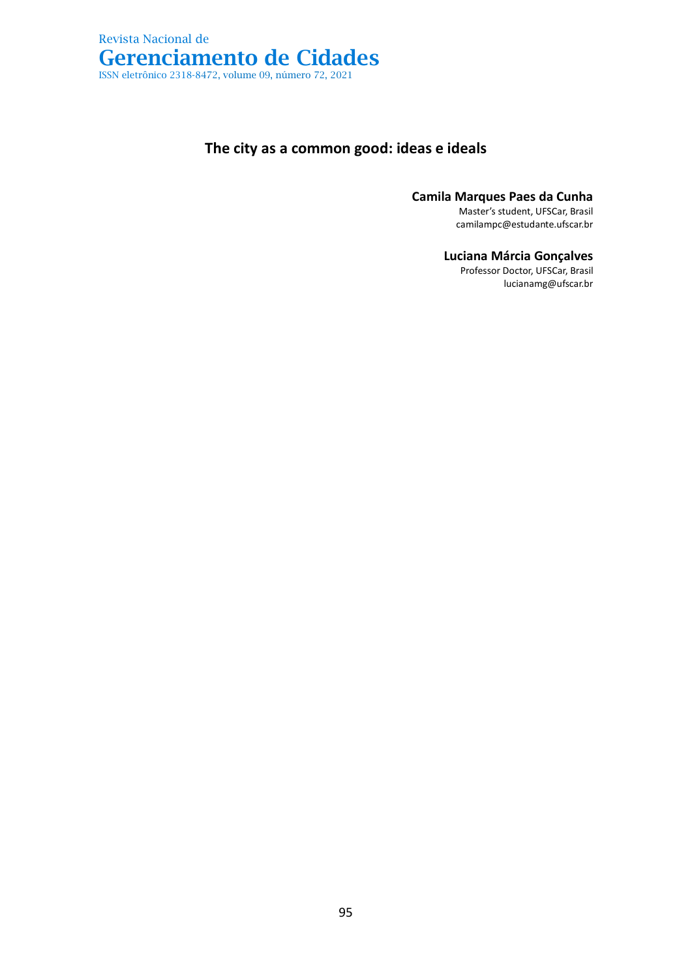

## **The city as a common good: ideas e ideals**

**Camila Marques Paes da Cunha**

Master's student, UFSCar, Brasil camilampc@estudante.ufscar.br

**Luciana Márcia Gonçalves**

Professor Doctor, UFSCar, Brasil lucianamg@ufscar.br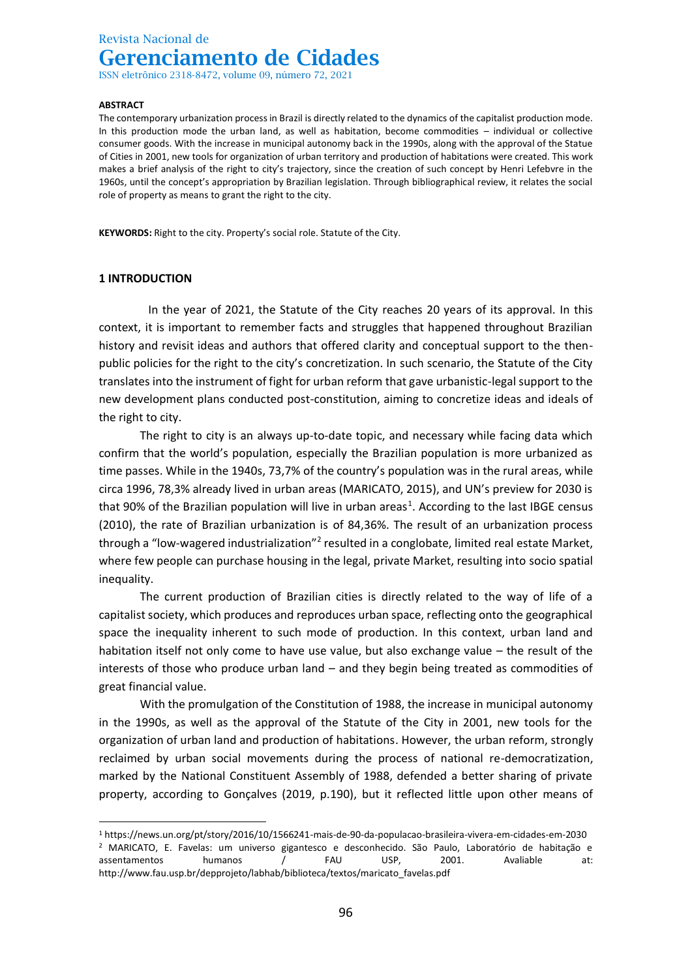ISSN eletrônico 2318-8472, volume 09, número 72, 2021

#### **ABSTRACT**

The contemporary urbanization process in Brazil is directly related to the dynamics of the capitalist production mode. In this production mode the urban land, as well as habitation, become commodities – individual or collective consumer goods. With the increase in municipal autonomy back in the 1990s, along with the approval of the Statue of Cities in 2001, new tools for organization of urban territory and production of habitations were created. This work makes a brief analysis of the right to city's trajectory, since the creation of such concept by Henri Lefebvre in the 1960s, until the concept's appropriation by Brazilian legislation. Through bibliographical review, it relates the social role of property as means to grant the right to the city.

**KEYWORDS:** Right to the city. Property's social role. Statute of the City.

### **1 INTRODUCTION**

In the year of 2021, the Statute of the City reaches 20 years of its approval. In this context, it is important to remember facts and struggles that happened throughout Brazilian history and revisit ideas and authors that offered clarity and conceptual support to the thenpublic policies for the right to the city's concretization. In such scenario, the Statute of the City translates into the instrument of fight for urban reform that gave urbanistic-legal support to the new development plans conducted post-constitution, aiming to concretize ideas and ideals of the right to city.

The right to city is an always up-to-date topic, and necessary while facing data which confirm that the world's population, especially the Brazilian population is more urbanized as time passes. While in the 1940s, 73,7% of the country's population was in the rural areas, while circa 1996, 78,3% already lived in urban areas (MARICATO, 2015), and UN's preview for 2030 is that 90% of the Brazilian population will live in urban areas<sup>1</sup>. According to the last IBGE census (2010), the rate of Brazilian urbanization is of 84,36%. The result of an urbanization process through a "low-wagered industrialization"<sup>2</sup> resulted in a conglobate, limited real estate Market, where few people can purchase housing in the legal, private Market, resulting into socio spatial inequality.

The current production of Brazilian cities is directly related to the way of life of a capitalist society, which produces and reproduces urban space, reflecting onto the geographical space the inequality inherent to such mode of production. In this context, urban land and habitation itself not only come to have use value, but also exchange value – the result of the interests of those who produce urban land – and they begin being treated as commodities of great financial value.

With the promulgation of the Constitution of 1988, the increase in municipal autonomy in the 1990s, as well as the approval of the Statute of the City in 2001, new tools for the organization of urban land and production of habitations. However, the urban reform, strongly reclaimed by urban social movements during the process of national re-democratization, marked by the National Constituent Assembly of 1988, defended a better sharing of private property, according to Gonçalves (2019, p.190), but it reflected little upon other means of

<sup>1</sup> https://news.un.org/pt/story/2016/10/1566241-mais-de-90-da-populacao-brasileira-vivera-em-cidades-em-2030 <sup>2</sup> MARICATO, E. Favelas: um universo gigantesco e desconhecido. São Paulo, Laboratório de habitação e assentamentos humanos / FAU USP, 2001. Avaliable at: http://www.fau.usp.br/depprojeto/labhab/biblioteca/textos/maricato\_favelas.pdf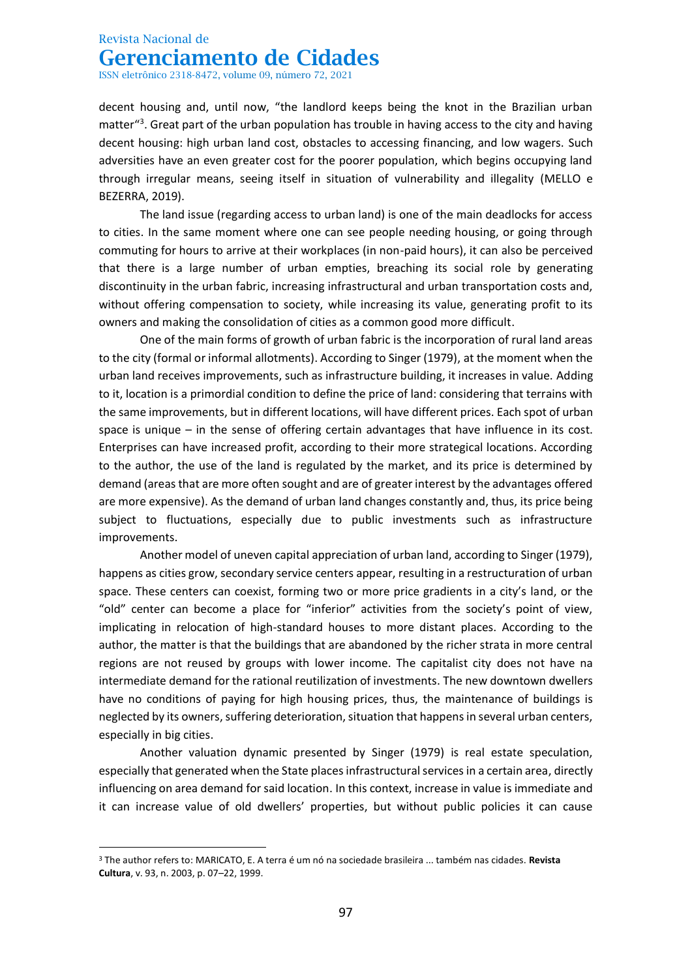ISSN eletrônico 2318-8472, volume 09, número 72, 2021

decent housing and, until now, "the landlord keeps being the knot in the Brazilian urban matter<sup>"3</sup>. Great part of the urban population has trouble in having access to the city and having decent housing: high urban land cost, obstacles to accessing financing, and low wagers. Such adversities have an even greater cost for the poorer population, which begins occupying land through irregular means, seeing itself in situation of vulnerability and illegality (MELLO e BEZERRA, 2019).

The land issue (regarding access to urban land) is one of the main deadlocks for access to cities. In the same moment where one can see people needing housing, or going through commuting for hours to arrive at their workplaces (in non-paid hours), it can also be perceived that there is a large number of urban empties, breaching its social role by generating discontinuity in the urban fabric, increasing infrastructural and urban transportation costs and, without offering compensation to society, while increasing its value, generating profit to its owners and making the consolidation of cities as a common good more difficult.

One of the main forms of growth of urban fabric is the incorporation of rural land areas to the city (formal or informal allotments). According to Singer (1979), at the moment when the urban land receives improvements, such as infrastructure building, it increases in value. Adding to it, location is a primordial condition to define the price of land: considering that terrains with the same improvements, but in different locations, will have different prices. Each spot of urban space is unique – in the sense of offering certain advantages that have influence in its cost. Enterprises can have increased profit, according to their more strategical locations. According to the author, the use of the land is regulated by the market, and its price is determined by demand (areas that are more often sought and are of greater interest by the advantages offered are more expensive). As the demand of urban land changes constantly and, thus, its price being subject to fluctuations, especially due to public investments such as infrastructure improvements.

Another model of uneven capital appreciation of urban land, according to Singer (1979), happens as cities grow, secondary service centers appear, resulting in a restructuration of urban space. These centers can coexist, forming two or more price gradients in a city's land, or the "old" center can become a place for "inferior" activities from the society's point of view, implicating in relocation of high-standard houses to more distant places. According to the author, the matter is that the buildings that are abandoned by the richer strata in more central regions are not reused by groups with lower income. The capitalist city does not have na intermediate demand for the rational reutilization of investments. The new downtown dwellers have no conditions of paying for high housing prices, thus, the maintenance of buildings is neglected by its owners, suffering deterioration, situation that happens in several urban centers, especially in big cities.

Another valuation dynamic presented by Singer (1979) is real estate speculation, especially that generated when the State places infrastructural services in a certain area, directly influencing on area demand for said location. In this context, increase in value is immediate and it can increase value of old dwellers' properties, but without public policies it can cause

<sup>3</sup> The author refers to: MARICATO, E. A terra é um nó na sociedade brasileira ... também nas cidades. **Revista Cultura**, v. 93, n. 2003, p. 07–22, 1999.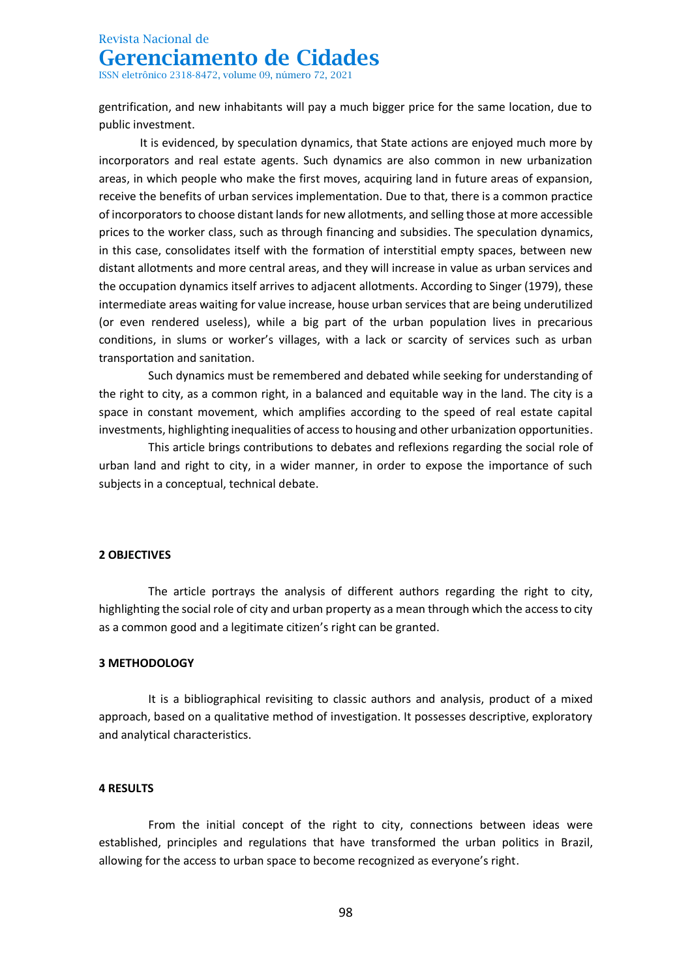ISSN eletrônico 2318-8472, volume 09, número 72, 2021

gentrification, and new inhabitants will pay a much bigger price for the same location, due to public investment.

It is evidenced, by speculation dynamics, that State actions are enjoyed much more by incorporators and real estate agents. Such dynamics are also common in new urbanization areas, in which people who make the first moves, acquiring land in future areas of expansion, receive the benefits of urban services implementation. Due to that, there is a common practice of incorporators to choose distant lands for new allotments, and selling those at more accessible prices to the worker class, such as through financing and subsidies. The speculation dynamics, in this case, consolidates itself with the formation of interstitial empty spaces, between new distant allotments and more central areas, and they will increase in value as urban services and the occupation dynamics itself arrives to adjacent allotments. According to Singer (1979), these intermediate areas waiting for value increase, house urban services that are being underutilized (or even rendered useless), while a big part of the urban population lives in precarious conditions, in slums or worker's villages, with a lack or scarcity of services such as urban transportation and sanitation.

Such dynamics must be remembered and debated while seeking for understanding of the right to city, as a common right, in a balanced and equitable way in the land. The city is a space in constant movement, which amplifies according to the speed of real estate capital investments, highlighting inequalities of access to housing and other urbanization opportunities.

This article brings contributions to debates and reflexions regarding the social role of urban land and right to city, in a wider manner, in order to expose the importance of such subjects in a conceptual, technical debate.

#### **2 OBJECTIVES**

The article portrays the analysis of different authors regarding the right to city, highlighting the social role of city and urban property as a mean through which the access to city as a common good and a legitimate citizen's right can be granted.

#### **3 METHODOLOGY**

It is a bibliographical revisiting to classic authors and analysis, product of a mixed approach, based on a qualitative method of investigation. It possesses descriptive, exploratory and analytical characteristics.

#### **4 RESULTS**

From the initial concept of the right to city, connections between ideas were established, principles and regulations that have transformed the urban politics in Brazil, allowing for the access to urban space to become recognized as everyone's right.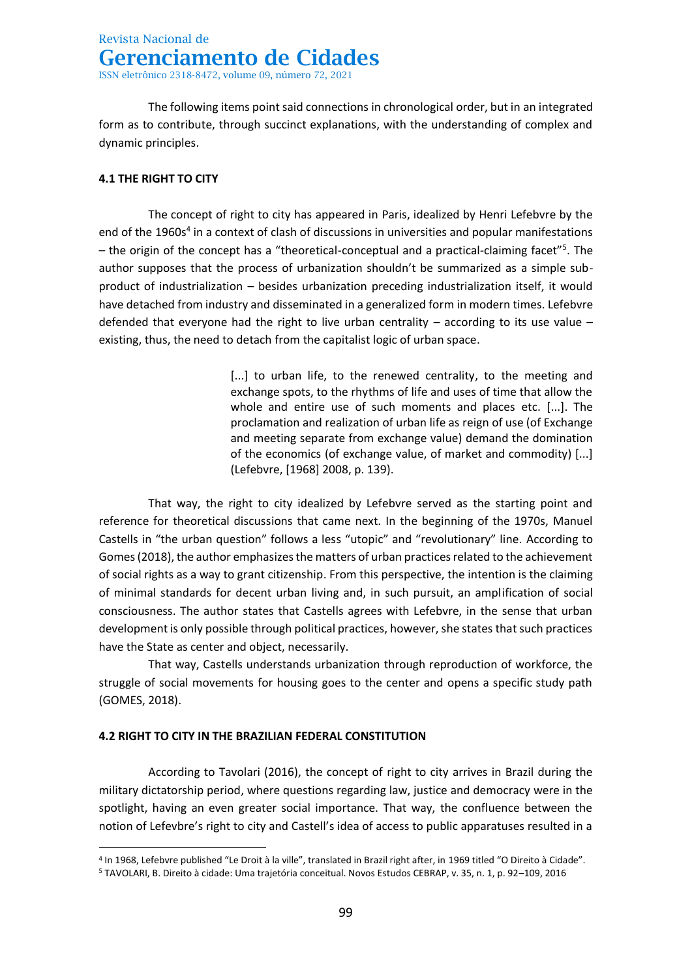The following items point said connections in chronological order, but in an integrated form as to contribute, through succinct explanations, with the understanding of complex and dynamic principles.

### **4.1 THE RIGHT TO CITY**

The concept of right to city has appeared in Paris, idealized by Henri Lefebvre by the end of the 1960s<sup>4</sup> in a context of clash of discussions in universities and popular manifestations - the origin of the concept has a "theoretical-conceptual and a practical-claiming facet"<sup>5</sup>. The author supposes that the process of urbanization shouldn't be summarized as a simple subproduct of industrialization – besides urbanization preceding industrialization itself, it would have detached from industry and disseminated in a generalized form in modern times. Lefebvre defended that everyone had the right to live urban centrality  $-$  according to its use value  $$ existing, thus, the need to detach from the capitalist logic of urban space.

> [...] to urban life, to the renewed centrality, to the meeting and exchange spots, to the rhythms of life and uses of time that allow the whole and entire use of such moments and places etc. [...]. The proclamation and realization of urban life as reign of use (of Exchange and meeting separate from exchange value) demand the domination of the economics (of exchange value, of market and commodity) [...] (Lefebvre, [1968] 2008, p. 139).

That way, the right to city idealized by Lefebvre served as the starting point and reference for theoretical discussions that came next. In the beginning of the 1970s, Manuel Castells in "the urban question" follows a less "utopic" and "revolutionary" line. According to Gomes (2018), the author emphasizes the matters of urban practices related to the achievement of social rights as a way to grant citizenship. From this perspective, the intention is the claiming of minimal standards for decent urban living and, in such pursuit, an amplification of social consciousness. The author states that Castells agrees with Lefebvre, in the sense that urban development is only possible through political practices, however, she states that such practices have the State as center and object, necessarily.

That way, Castells understands urbanization through reproduction of workforce, the struggle of social movements for housing goes to the center and opens a specific study path (GOMES, 2018).

### **4.2 RIGHT TO CITY IN THE BRAZILIAN FEDERAL CONSTITUTION**

According to Tavolari (2016), the concept of right to city arrives in Brazil during the military dictatorship period, where questions regarding law, justice and democracy were in the spotlight, having an even greater social importance. That way, the confluence between the notion of Lefevbre's right to city and Castell's idea of access to public apparatuses resulted in a

<sup>4</sup> In 1968, Lefebvre published "Le Droit à la ville", translated in Brazil right after, in 1969 titled "O Direito à Cidade".

<sup>5</sup> TAVOLARI, B. Direito à cidade: Uma trajetória conceitual. Novos Estudos CEBRAP, v. 35, n. 1, p. 92–109, 2016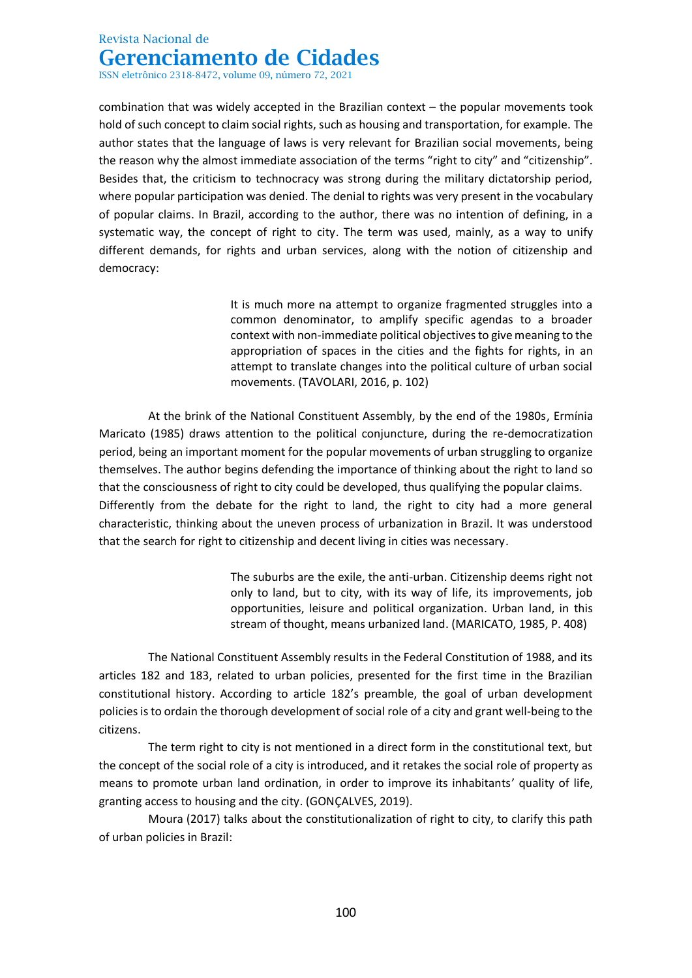ISSN eletrônico 2318-8472, volume 09, número 72, 2021

combination that was widely accepted in the Brazilian context – the popular movements took hold of such concept to claim social rights, such as housing and transportation, for example. The author states that the language of laws is very relevant for Brazilian social movements, being the reason why the almost immediate association of the terms "right to city" and "citizenship". Besides that, the criticism to technocracy was strong during the military dictatorship period, where popular participation was denied. The denial to rights was very present in the vocabulary of popular claims. In Brazil, according to the author, there was no intention of defining, in a systematic way, the concept of right to city. The term was used, mainly, as a way to unify different demands, for rights and urban services, along with the notion of citizenship and democracy:

> It is much more na attempt to organize fragmented struggles into a common denominator, to amplify specific agendas to a broader context with non-immediate political objectives to give meaning to the appropriation of spaces in the cities and the fights for rights, in an attempt to translate changes into the political culture of urban social movements. (TAVOLARI, 2016, p. 102)

At the brink of the National Constituent Assembly, by the end of the 1980s, Ermínia Maricato (1985) draws attention to the political conjuncture, during the re-democratization period, being an important moment for the popular movements of urban struggling to organize themselves. The author begins defending the importance of thinking about the right to land so that the consciousness of right to city could be developed, thus qualifying the popular claims. Differently from the debate for the right to land, the right to city had a more general characteristic, thinking about the uneven process of urbanization in Brazil. It was understood that the search for right to citizenship and decent living in cities was necessary.

> The suburbs are the exile, the anti-urban. Citizenship deems right not only to land, but to city, with its way of life, its improvements, job opportunities, leisure and political organization. Urban land, in this stream of thought, means urbanized land. (MARICATO, 1985, P. 408)

The National Constituent Assembly results in the Federal Constitution of 1988, and its articles 182 and 183, related to urban policies, presented for the first time in the Brazilian constitutional history. According to article 182's preamble, the goal of urban development policies is to ordain the thorough development of social role of a city and grant well-being to the citizens.

The term right to city is not mentioned in a direct form in the constitutional text, but the concept of the social role of a city is introduced, and it retakes the social role of property as means to promote urban land ordination, in order to improve its inhabitants' quality of life, granting access to housing and the city. (GONÇALVES, 2019).

Moura (2017) talks about the constitutionalization of right to city, to clarify this path of urban policies in Brazil: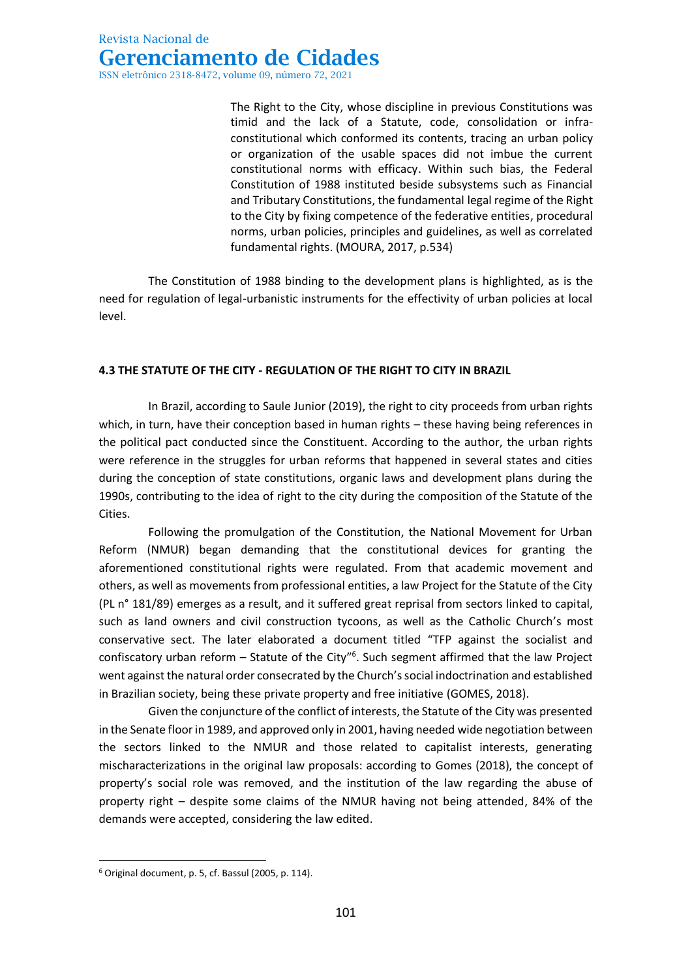The Right to the City, whose discipline in previous Constitutions was timid and the lack of a Statute, code, consolidation or infraconstitutional which conformed its contents, tracing an urban policy or organization of the usable spaces did not imbue the current constitutional norms with efficacy. Within such bias, the Federal Constitution of 1988 instituted beside subsystems such as Financial and Tributary Constitutions, the fundamental legal regime of the Right to the City by fixing competence of the federative entities, procedural norms, urban policies, principles and guidelines, as well as correlated fundamental rights. (MOURA, 2017, p.534)

The Constitution of 1988 binding to the development plans is highlighted, as is the need for regulation of legal-urbanistic instruments for the effectivity of urban policies at local level.

### **4.3 THE STATUTE OF THE CITY - REGULATION OF THE RIGHT TO CITY IN BRAZIL**

In Brazil, according to Saule Junior (2019), the right to city proceeds from urban rights which, in turn, have their conception based in human rights – these having being references in the political pact conducted since the Constituent. According to the author, the urban rights were reference in the struggles for urban reforms that happened in several states and cities during the conception of state constitutions, organic laws and development plans during the 1990s, contributing to the idea of right to the city during the composition of the Statute of the Cities.

Following the promulgation of the Constitution, the National Movement for Urban Reform (NMUR) began demanding that the constitutional devices for granting the aforementioned constitutional rights were regulated. From that academic movement and others, as well as movements from professional entities, a law Project for the Statute of the City (PL n° 181/89) emerges as a result, and it suffered great reprisal from sectors linked to capital, such as land owners and civil construction tycoons, as well as the Catholic Church's most conservative sect. The later elaborated a document titled "TFP against the socialist and confiscatory urban reform - Statute of the City"<sup>6</sup>. Such segment affirmed that the law Project went against the natural order consecrated by the Church's social indoctrination and established in Brazilian society, being these private property and free initiative (GOMES, 2018).

Given the conjuncture of the conflict of interests, the Statute of the City was presented in the Senate floor in 1989, and approved only in 2001, having needed wide negotiation between the sectors linked to the NMUR and those related to capitalist interests, generating mischaracterizations in the original law proposals: according to Gomes (2018), the concept of property's social role was removed, and the institution of the law regarding the abuse of property right – despite some claims of the NMUR having not being attended, 84% of the demands were accepted, considering the law edited.

<sup>6</sup> Original document, p. 5, cf. Bassul (2005, p. 114).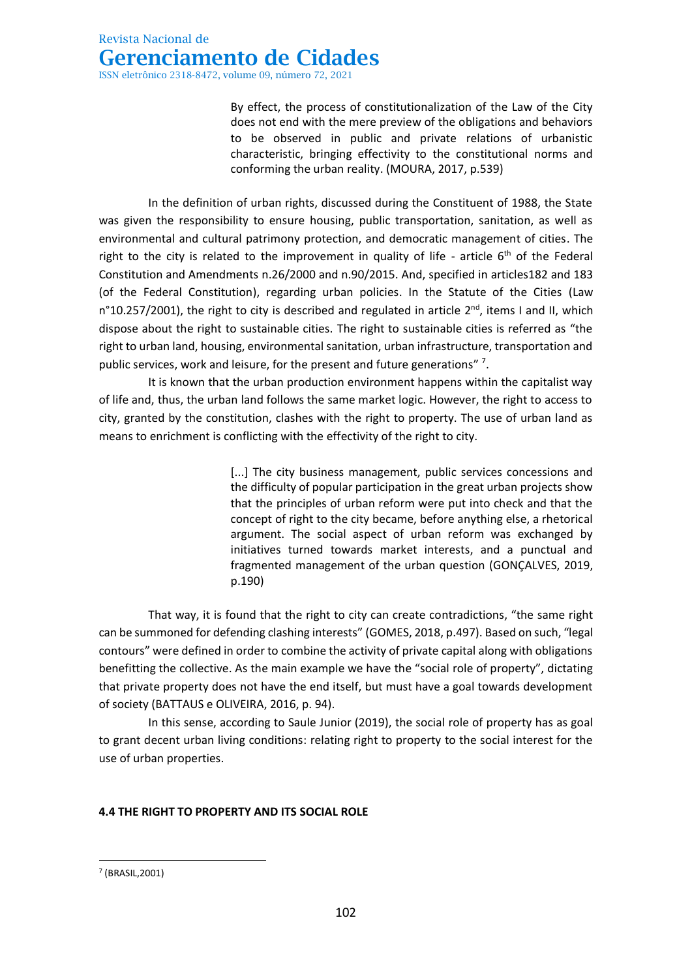By effect, the process of constitutionalization of the Law of the City does not end with the mere preview of the obligations and behaviors to be observed in public and private relations of urbanistic characteristic, bringing effectivity to the constitutional norms and conforming the urban reality. (MOURA, 2017, p.539)

In the definition of urban rights, discussed during the Constituent of 1988, the State was given the responsibility to ensure housing, public transportation, sanitation, as well as environmental and cultural patrimony protection, and democratic management of cities. The right to the city is related to the improvement in quality of life - article  $6<sup>th</sup>$  of the Federal Constitution and Amendments n.26/2000 and n.90/2015. And, specified in articles182 and 183 (of the Federal Constitution), regarding urban policies. In the Statute of the Cities (Law n°10.257/2001), the right to city is described and regulated in article  $2^{nd}$ , items I and II, which dispose about the right to sustainable cities. The right to sustainable cities is referred as "the right to urban land, housing, environmental sanitation, urban infrastructure, transportation and public services, work and leisure, for the present and future generations" 7.

It is known that the urban production environment happens within the capitalist way of life and, thus, the urban land follows the same market logic. However, the right to access to city, granted by the constitution, clashes with the right to property. The use of urban land as means to enrichment is conflicting with the effectivity of the right to city.

> [...] The city business management, public services concessions and the difficulty of popular participation in the great urban projects show that the principles of urban reform were put into check and that the concept of right to the city became, before anything else, a rhetorical argument. The social aspect of urban reform was exchanged by initiatives turned towards market interests, and a punctual and fragmented management of the urban question (GONÇALVES, 2019, p.190)

That way, it is found that the right to city can create contradictions, "the same right can be summoned for defending clashing interests" (GOMES, 2018, p.497). Based on such, "legal contours" were defined in order to combine the activity of private capital along with obligations benefitting the collective. As the main example we have the "social role of property", dictating that private property does not have the end itself, but must have a goal towards development of society (BATTAUS e OLIVEIRA, 2016, p. 94).

In this sense, according to Saule Junior (2019), the social role of property has as goal to grant decent urban living conditions: relating right to property to the social interest for the use of urban properties.

### **4.4 THE RIGHT TO PROPERTY AND ITS SOCIAL ROLE**

<sup>7</sup> (BRASIL,2001)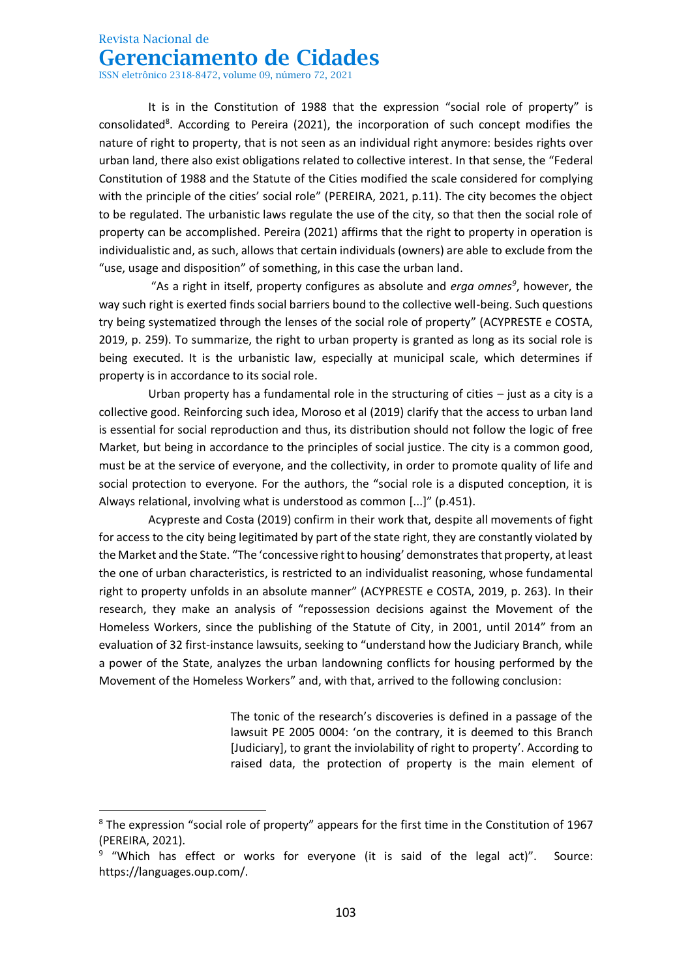ISSN eletrônico 2318-8472, volume 09, número 72, 2021

It is in the Constitution of 1988 that the expression "social role of property" is consolidated<sup>8</sup>. According to Pereira (2021), the incorporation of such concept modifies the nature of right to property, that is not seen as an individual right anymore: besides rights over urban land, there also exist obligations related to collective interest. In that sense, the "Federal Constitution of 1988 and the Statute of the Cities modified the scale considered for complying with the principle of the cities' social role" (PEREIRA, 2021, p.11). The city becomes the object to be regulated. The urbanistic laws regulate the use of the city, so that then the social role of property can be accomplished. Pereira (2021) affirms that the right to property in operation is individualistic and, as such, allows that certain individuals (owners) are able to exclude from the "use, usage and disposition" of something, in this case the urban land.

"As a right in itself, property configures as absolute and *erga omnes<sup>9</sup>* , however, the way such right is exerted finds social barriers bound to the collective well-being. Such questions try being systematized through the lenses of the social role of property" (ACYPRESTE e COSTA, 2019, p. 259). To summarize, the right to urban property is granted as long as its social role is being executed. It is the urbanistic law, especially at municipal scale, which determines if property is in accordance to its social role.

Urban property has a fundamental role in the structuring of cities  $-$  just as a city is a collective good. Reinforcing such idea, Moroso et al (2019) clarify that the access to urban land is essential for social reproduction and thus, its distribution should not follow the logic of free Market, but being in accordance to the principles of social justice. The city is a common good, must be at the service of everyone, and the collectivity, in order to promote quality of life and social protection to everyone. For the authors, the "social role is a disputed conception, it is Always relational, involving what is understood as common [...]" (p.451).

Acypreste and Costa (2019) confirm in their work that, despite all movements of fight for access to the city being legitimated by part of the state right, they are constantly violated by the Market and the State. "The 'concessive right to housing' demonstrates that property, at least the one of urban characteristics, is restricted to an individualist reasoning, whose fundamental right to property unfolds in an absolute manner" (ACYPRESTE e COSTA, 2019, p. 263). In their research, they make an analysis of "repossession decisions against the Movement of the Homeless Workers, since the publishing of the Statute of City, in 2001, until 2014" from an evaluation of 32 first-instance lawsuits, seeking to "understand how the Judiciary Branch, while a power of the State, analyzes the urban landowning conflicts for housing performed by the Movement of the Homeless Workers" and, with that, arrived to the following conclusion:

> The tonic of the research's discoveries is defined in a passage of the lawsuit PE 2005 0004: 'on the contrary, it is deemed to this Branch [Judiciary], to grant the inviolability of right to property'. According to raised data, the protection of property is the main element of

 $8$  The expression "social role of property" appears for the first time in the Constitution of 1967 (PEREIRA, 2021).

<sup>&</sup>lt;sup>9</sup> "Which has effect or works for everyone (it is said of the legal act)". Source: https://languages.oup.com/.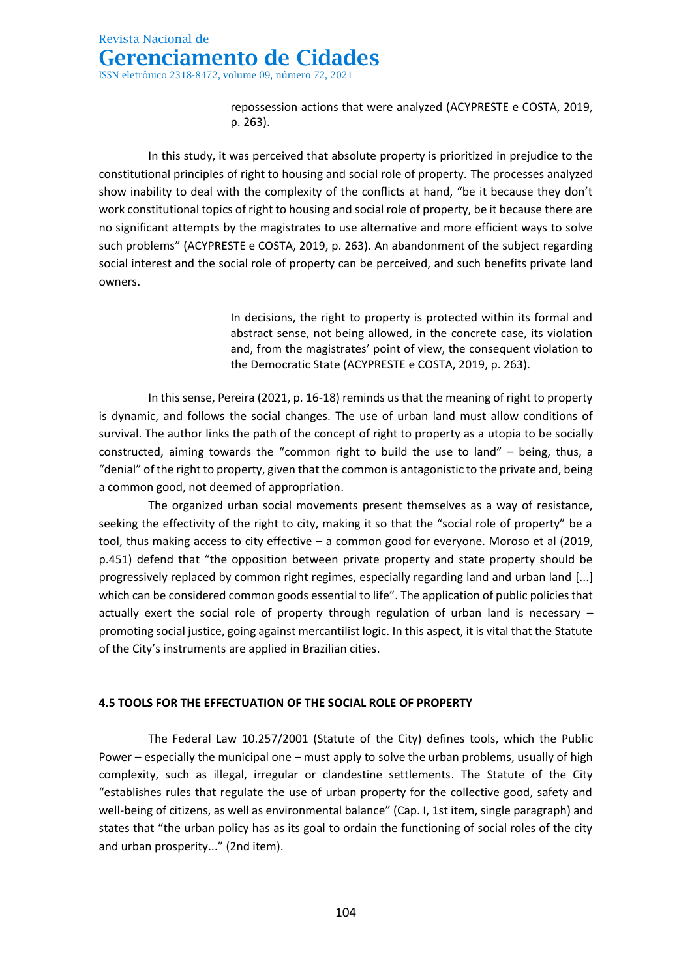repossession actions that were analyzed (ACYPRESTE e COSTA, 2019, p. 263).

In this study, it was perceived that absolute property is prioritized in prejudice to the constitutional principles of right to housing and social role of property. The processes analyzed show inability to deal with the complexity of the conflicts at hand, "be it because they don't work constitutional topics of right to housing and social role of property, be it because there are no significant attempts by the magistrates to use alternative and more efficient ways to solve such problems" (ACYPRESTE e COSTA, 2019, p. 263). An abandonment of the subject regarding social interest and the social role of property can be perceived, and such benefits private land owners.

> In decisions, the right to property is protected within its formal and abstract sense, not being allowed, in the concrete case, its violation and, from the magistrates' point of view, the consequent violation to the Democratic State (ACYPRESTE e COSTA, 2019, p. 263).

In this sense, Pereira (2021, p. 16-18) reminds us that the meaning of right to property is dynamic, and follows the social changes. The use of urban land must allow conditions of survival. The author links the path of the concept of right to property as a utopia to be socially constructed, aiming towards the "common right to build the use to land" – being, thus, a "denial" of the right to property, given that the common is antagonistic to the private and, being a common good, not deemed of appropriation.

The organized urban social movements present themselves as a way of resistance, seeking the effectivity of the right to city, making it so that the "social role of property" be a tool, thus making access to city effective – a common good for everyone. Moroso et al (2019, p.451) defend that "the opposition between private property and state property should be progressively replaced by common right regimes, especially regarding land and urban land [...] which can be considered common goods essential to life". The application of public policies that actually exert the social role of property through regulation of urban land is necessary – promoting social justice, going against mercantilist logic. In this aspect, it is vital that the Statute of the City's instruments are applied in Brazilian cities.

#### **4.5 TOOLS FOR THE EFFECTUATION OF THE SOCIAL ROLE OF PROPERTY**

The Federal Law 10.257/2001 (Statute of the City) defines tools, which the Public Power – especially the municipal one – must apply to solve the urban problems, usually of high complexity, such as illegal, irregular or clandestine settlements. The Statute of the City "establishes rules that regulate the use of urban property for the collective good, safety and well-being of citizens, as well as environmental balance" (Cap. I, 1st item, single paragraph) and states that "the urban policy has as its goal to ordain the functioning of social roles of the city and urban prosperity..." (2nd item).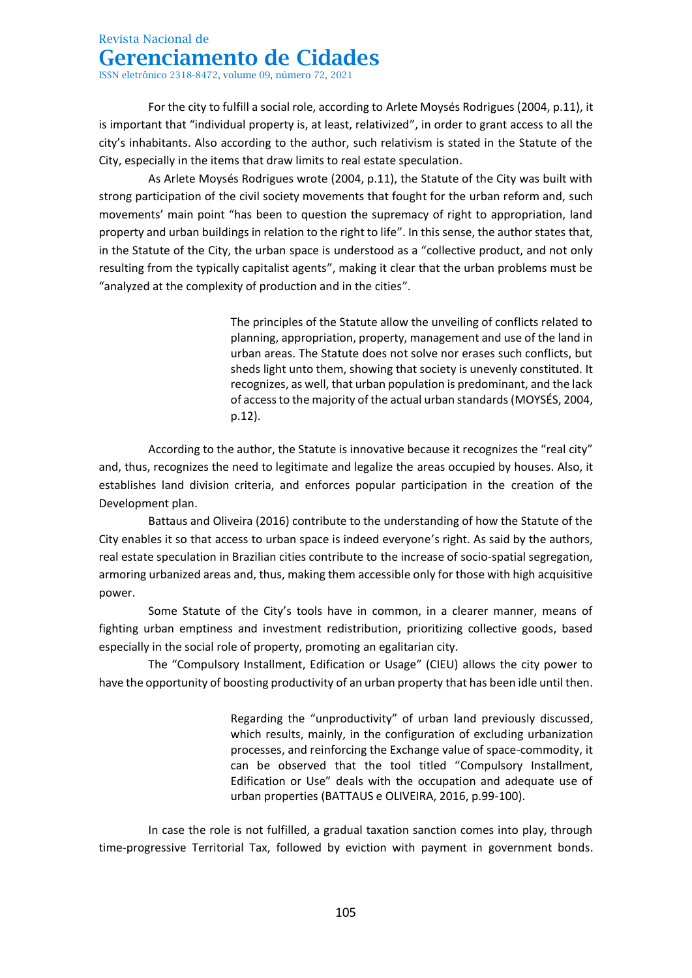ISSN eletrônico 2318-8472, volume 09, número 72, 2021

For the city to fulfill a social role, according to Arlete Moysés Rodrigues (2004, p.11), it is important that "individual property is, at least, relativized", in order to grant access to all the city's inhabitants. Also according to the author, such relativism is stated in the Statute of the City, especially in the items that draw limits to real estate speculation.

As Arlete Moysés Rodrigues wrote (2004, p.11), the Statute of the City was built with strong participation of the civil society movements that fought for the urban reform and, such movements' main point "has been to question the supremacy of right to appropriation, land property and urban buildings in relation to the right to life". In this sense, the author states that, in the Statute of the City, the urban space is understood as a "collective product, and not only resulting from the typically capitalist agents", making it clear that the urban problems must be "analyzed at the complexity of production and in the cities".

> The principles of the Statute allow the unveiling of conflicts related to planning, appropriation, property, management and use of the land in urban areas. The Statute does not solve nor erases such conflicts, but sheds light unto them, showing that society is unevenly constituted. It recognizes, as well, that urban population is predominant, and the lack of access to the majority of the actual urban standards (MOYSÉS, 2004, p.12).

According to the author, the Statute is innovative because it recognizes the "real city" and, thus, recognizes the need to legitimate and legalize the areas occupied by houses. Also, it establishes land division criteria, and enforces popular participation in the creation of the Development plan.

Battaus and Oliveira (2016) contribute to the understanding of how the Statute of the City enables it so that access to urban space is indeed everyone's right. As said by the authors, real estate speculation in Brazilian cities contribute to the increase of socio-spatial segregation, armoring urbanized areas and, thus, making them accessible only for those with high acquisitive power.

Some Statute of the City's tools have in common, in a clearer manner, means of fighting urban emptiness and investment redistribution, prioritizing collective goods, based especially in the social role of property, promoting an egalitarian city.

The "Compulsory Installment, Edification or Usage" (CIEU) allows the city power to have the opportunity of boosting productivity of an urban property that has been idle until then.

> Regarding the "unproductivity" of urban land previously discussed, which results, mainly, in the configuration of excluding urbanization processes, and reinforcing the Exchange value of space-commodity, it can be observed that the tool titled "Compulsory Installment, Edification or Use" deals with the occupation and adequate use of urban properties (BATTAUS e OLIVEIRA, 2016, p.99-100).

In case the role is not fulfilled, a gradual taxation sanction comes into play, through time-progressive Territorial Tax, followed by eviction with payment in government bonds.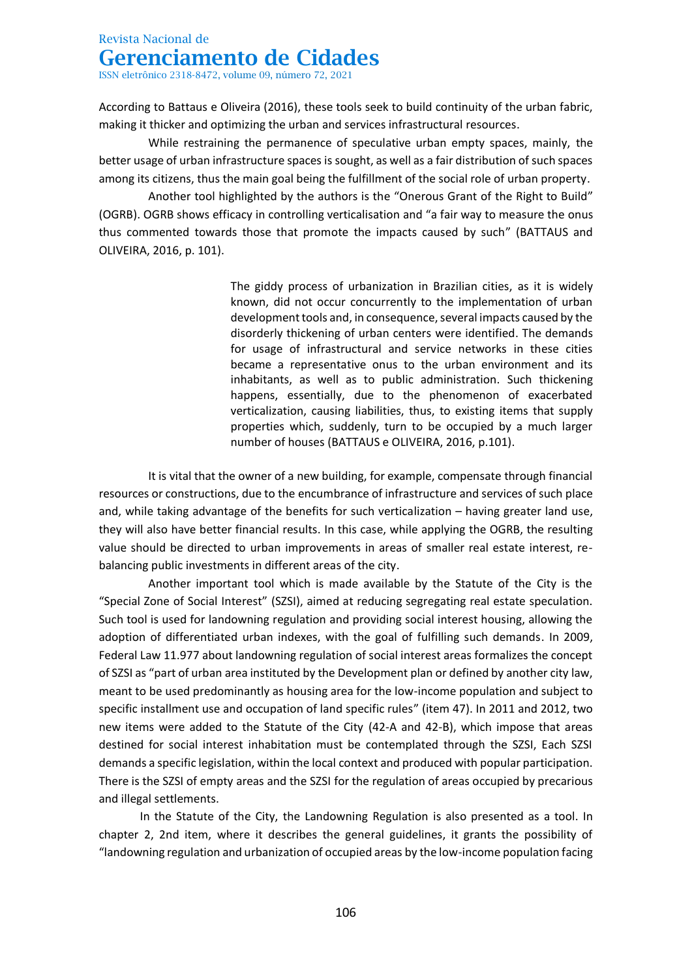ISSN eletrônico 2318-8472, volume 09, número 72, 2021

According to Battaus e Oliveira (2016), these tools seek to build continuity of the urban fabric, making it thicker and optimizing the urban and services infrastructural resources.

While restraining the permanence of speculative urban empty spaces, mainly, the better usage of urban infrastructure spaces is sought, as well as a fair distribution of such spaces among its citizens, thus the main goal being the fulfillment of the social role of urban property.

Another tool highlighted by the authors is the "Onerous Grant of the Right to Build" (OGRB). OGRB shows efficacy in controlling verticalisation and "a fair way to measure the onus thus commented towards those that promote the impacts caused by such" (BATTAUS and OLIVEIRA, 2016, p. 101).

> The giddy process of urbanization in Brazilian cities, as it is widely known, did not occur concurrently to the implementation of urban development tools and, in consequence, several impacts caused by the disorderly thickening of urban centers were identified. The demands for usage of infrastructural and service networks in these cities became a representative onus to the urban environment and its inhabitants, as well as to public administration. Such thickening happens, essentially, due to the phenomenon of exacerbated verticalization, causing liabilities, thus, to existing items that supply properties which, suddenly, turn to be occupied by a much larger number of houses (BATTAUS e OLIVEIRA, 2016, p.101).

It is vital that the owner of a new building, for example, compensate through financial resources or constructions, due to the encumbrance of infrastructure and services of such place and, while taking advantage of the benefits for such verticalization – having greater land use, they will also have better financial results. In this case, while applying the OGRB, the resulting value should be directed to urban improvements in areas of smaller real estate interest, rebalancing public investments in different areas of the city.

Another important tool which is made available by the Statute of the City is the "Special Zone of Social Interest" (SZSI), aimed at reducing segregating real estate speculation. Such tool is used for landowning regulation and providing social interest housing, allowing the adoption of differentiated urban indexes, with the goal of fulfilling such demands. In 2009, Federal Law 11.977 about landowning regulation of social interest areas formalizes the concept of SZSI as "part of urban area instituted by the Development plan or defined by another city law, meant to be used predominantly as housing area for the low-income population and subject to specific installment use and occupation of land specific rules" (item 47). In 2011 and 2012, two new items were added to the Statute of the City (42-A and 42-B), which impose that areas destined for social interest inhabitation must be contemplated through the SZSI, Each SZSI demands a specific legislation, within the local context and produced with popular participation. There is the SZSI of empty areas and the SZSI for the regulation of areas occupied by precarious and illegal settlements.

In the Statute of the City, the Landowning Regulation is also presented as a tool. In chapter 2, 2nd item, where it describes the general guidelines, it grants the possibility of "landowning regulation and urbanization of occupied areas by the low-income population facing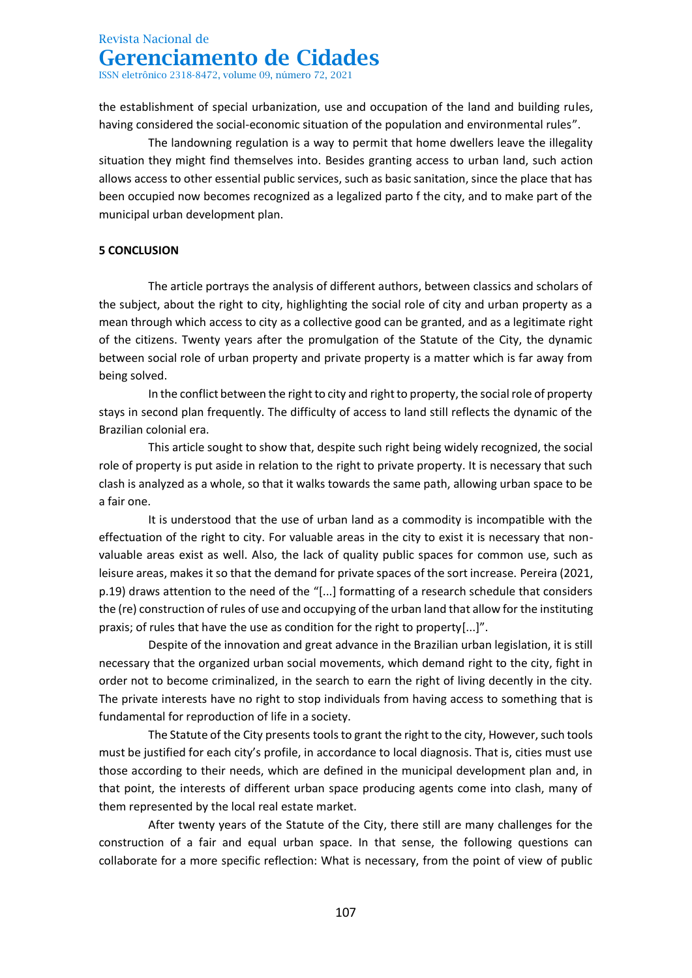ISSN eletrônico 2318-8472, volume 09, número 72, 2021

the establishment of special urbanization, use and occupation of the land and building rules, having considered the social-economic situation of the population and environmental rules".

The landowning regulation is a way to permit that home dwellers leave the illegality situation they might find themselves into. Besides granting access to urban land, such action allows access to other essential public services, such as basic sanitation, since the place that has been occupied now becomes recognized as a legalized parto f the city, and to make part of the municipal urban development plan.

### **5 CONCLUSION**

The article portrays the analysis of different authors, between classics and scholars of the subject, about the right to city, highlighting the social role of city and urban property as a mean through which access to city as a collective good can be granted, and as a legitimate right of the citizens. Twenty years after the promulgation of the Statute of the City, the dynamic between social role of urban property and private property is a matter which is far away from being solved.

In the conflict between the right to city and right to property, the social role of property stays in second plan frequently. The difficulty of access to land still reflects the dynamic of the Brazilian colonial era.

This article sought to show that, despite such right being widely recognized, the social role of property is put aside in relation to the right to private property. It is necessary that such clash is analyzed as a whole, so that it walks towards the same path, allowing urban space to be a fair one.

It is understood that the use of urban land as a commodity is incompatible with the effectuation of the right to city. For valuable areas in the city to exist it is necessary that nonvaluable areas exist as well. Also, the lack of quality public spaces for common use, such as leisure areas, makes it so that the demand for private spaces of the sort increase. Pereira (2021, p.19) draws attention to the need of the "[...] formatting of a research schedule that considers the (re) construction of rules of use and occupying of the urban land that allow for the instituting praxis; of rules that have the use as condition for the right to property[...]".

Despite of the innovation and great advance in the Brazilian urban legislation, it is still necessary that the organized urban social movements, which demand right to the city, fight in order not to become criminalized, in the search to earn the right of living decently in the city. The private interests have no right to stop individuals from having access to something that is fundamental for reproduction of life in a society.

The Statute of the City presents tools to grant the right to the city, However, such tools must be justified for each city's profile, in accordance to local diagnosis. That is, cities must use those according to their needs, which are defined in the municipal development plan and, in that point, the interests of different urban space producing agents come into clash, many of them represented by the local real estate market.

After twenty years of the Statute of the City, there still are many challenges for the construction of a fair and equal urban space. In that sense, the following questions can collaborate for a more specific reflection: What is necessary, from the point of view of public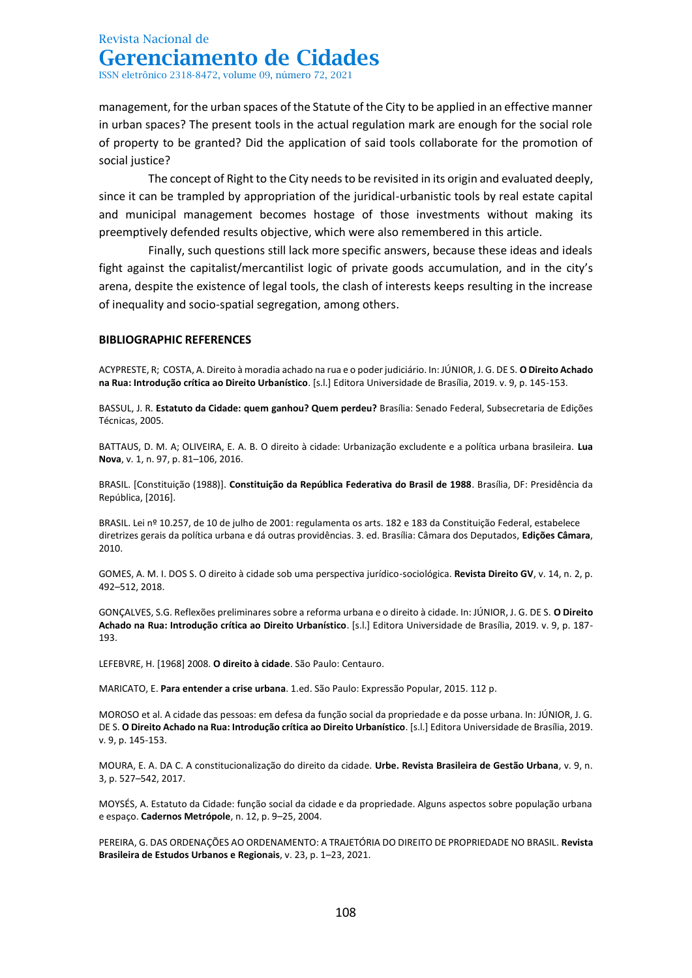management, for the urban spaces of the Statute of the City to be applied in an effective manner in urban spaces? The present tools in the actual regulation mark are enough for the social role of property to be granted? Did the application of said tools collaborate for the promotion of social justice?

The concept of Right to the City needs to be revisited in its origin and evaluated deeply, since it can be trampled by appropriation of the juridical-urbanistic tools by real estate capital and municipal management becomes hostage of those investments without making its preemptively defended results objective, which were also remembered in this article.

Finally, such questions still lack more specific answers, because these ideas and ideals fight against the capitalist/mercantilist logic of private goods accumulation, and in the city's arena, despite the existence of legal tools, the clash of interests keeps resulting in the increase of inequality and socio-spatial segregation, among others.

#### **BIBLIOGRAPHIC REFERENCES**

ACYPRESTE, R; COSTA, A. Direito à moradia achado na rua e o poder judiciário. In: JÚNIOR, J. G. DE S. **O Direito Achado na Rua: Introdução crítica ao Direito Urbanístico**. [s.l.] Editora Universidade de Brasília, 2019. v. 9, p. 145-153.

BASSUL, J. R. **Estatuto da Cidade: quem ganhou? Quem perdeu?** Brasília: Senado Federal, Subsecretaria de Edições Técnicas, 2005.

BATTAUS, D. M. A; OLIVEIRA, E. A. B. O direito à cidade: Urbanização excludente e a política urbana brasileira. **Lua Nova**, v. 1, n. 97, p. 81–106, 2016.

BRASIL. [Constituição (1988)]. **Constituição da República Federativa do Brasil de 1988**. Brasília, DF: Presidência da República, [2016].

BRASIL. Lei nº 10.257, de 10 de julho de 2001: regulamenta os arts. 182 e 183 da Constituição Federal, estabelece diretrizes gerais da política urbana e dá outras providências. 3. ed. Brasília: Câmara dos Deputados, **Edições Câmara**, 2010.

GOMES, A. M. I. DOS S. O direito à cidade sob uma perspectiva jurídico-sociológica. **Revista Direito GV**, v. 14, n. 2, p. 492–512, 2018.

GONÇALVES, S.G. Reflexões preliminares sobre a reforma urbana e o direito à cidade. In: JÚNIOR, J. G. DE S. **O Direito Achado na Rua: Introdução crítica ao Direito Urbanístico**. [s.l.] Editora Universidade de Brasília, 2019. v. 9, p. 187- 193.

LEFEBVRE, H. [1968] 2008. **O direito à cidade**. São Paulo: Centauro.

MARICATO, E. **Para entender a crise urbana**. 1.ed. São Paulo: Expressão Popular, 2015. 112 p.

MOROSO et al. A cidade das pessoas: em defesa da função social da propriedade e da posse urbana. In: JÚNIOR, J. G. DE S. **O Direito Achado na Rua: Introdução crítica ao Direito Urbanístico**. [s.l.] Editora Universidade de Brasília, 2019. v. 9, p. 145-153.

MOURA, E. A. DA C. A constitucionalização do direito da cidade. **Urbe. Revista Brasileira de Gestão Urbana**, v. 9, n. 3, p. 527–542, 2017.

MOYSÉS, A. Estatuto da Cidade: função social da cidade e da propriedade. Alguns aspectos sobre população urbana e espaço. **Cadernos Metrópole**, n. 12, p. 9–25, 2004.

PEREIRA, G. DAS ORDENAÇÕES AO ORDENAMENTO: A TRAJETÓRIA DO DIREITO DE PROPRIEDADE NO BRASIL. **Revista Brasileira de Estudos Urbanos e Regionais**, v. 23, p. 1–23, 2021.